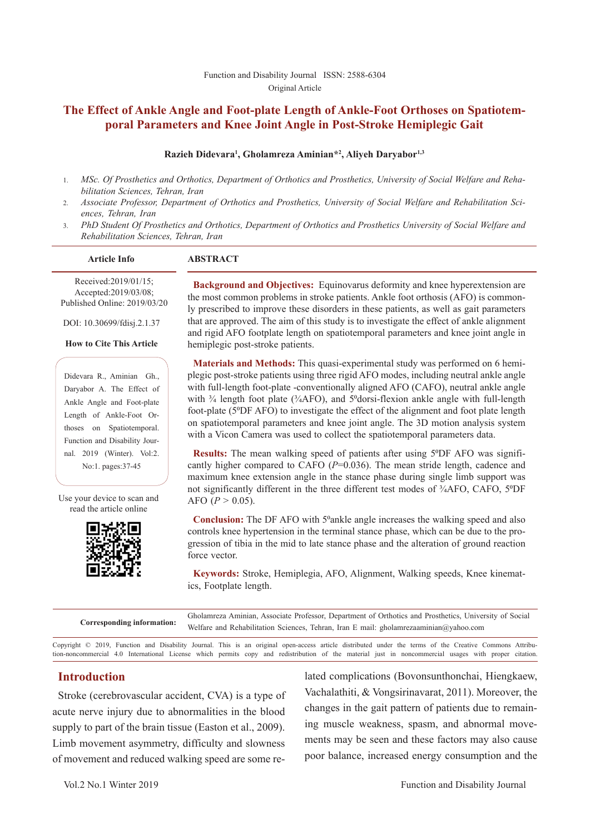# **The Effect of Ankle Angle and Foot-plate Length of Ankle-Foot Orthoses on Spatiotemporal Parameters and Knee Joint Angle in Post-Stroke Hemiplegic Gait**

#### **Razieh Didevara1 , Gholamreza Aminian\*2 , Aliyeh Daryabor1,3**

- 1. *MSc. Of Prosthetics and Orthotics, Department of Orthotics and Prosthetics, University of Social Welfare and Rehabilitation Sciences, Tehran, Iran*
- 2. *Associate Professor, Department of Orthotics and Prosthetics, University of Social Welfare and Rehabilitation Sciences, Tehran, Iran*
- 3. *PhD Student Of Prosthetics and Orthotics, Department of Orthotics and Prosthetics University of Social Welfare and Rehabilitation Sciences, Tehran, Iran*

#### **Article Info ABSTRACT**

Received:2019/01/15; Accepted:2019/03/08;

Published Online: 2019/03/20

DOI: 10.30699/fdisj.2.1.37

**How to Cite This Article**

Didevara R., Aminian Gh., Daryabor A. The Effect of Ankle Angle and Foot-plate Length of Ankle-Foot Orthoses on Spatiotemporal. Function and Disability Journal. 2019 (Winter). Vol:2. No:1. pages:37-45

Use your device to scan and read the article online



**Background and Objectives:** Equinovarus deformity and knee hyperextension are the most common problems in stroke patients. Ankle foot orthosis (AFO) is commonly prescribed to improve these disorders in these patients, as well as gait parameters that are approved. The aim of this study is to investigate the effect of ankle alignment and rigid AFO footplate length on spatiotemporal parameters and knee joint angle in hemiplegic post-stroke patients.

**Materials and Methods:** This quasi-experimental study was performed on 6 hemiplegic post-stroke patients using three rigid AFO modes, including neutral ankle angle with full-length foot-plate -conventionally aligned AFO (CAFO), neutral ankle angle with  $\frac{3}{4}$  length foot plate ( $\frac{3}{4}$ AFO), and  $5^{\circ}$ dorsi-flexion ankle angle with full-length foot-plate (50DF AFO) to investigate the effect of the alignment and foot plate length on spatiotemporal parameters and knee joint angle. The 3D motion analysis system with a Vicon Camera was used to collect the spatiotemporal parameters data.

**Results:** The mean walking speed of patients after using 5°DF AFO was significantly higher compared to CAFO ( $P=0.036$ ). The mean stride length, cadence and maximum knee extension angle in the stance phase during single limb support was not significantly different in the three different test modes of <sup>3</sup>/<sub>4</sub>AFO, CAFO, 5<sup>o</sup>DF AFO  $(P > 0.05)$ .

**Conclusion:** The DF AFO with 5<sup>o</sup>ankle angle increases the walking speed and also controls knee hypertension in the terminal stance phase, which can be due to the progression of tibia in the mid to late stance phase and the alteration of ground reaction force vector.

**Keywords:** Stroke, Hemiplegia, AFO, Alignment, Walking speeds, Knee kinematics, Footplate length.

|                            | Gholamreza Aminian, Associate Professor, Department of Orthotics and Prosthetics, University of Social |
|----------------------------|--------------------------------------------------------------------------------------------------------|
| Corresponding information: | Welfare and Rehabilitation Sciences, Tehran, Iran E mail: gholamrezaaminian@yahoo.com                  |

Copyright © 2019, Function and Disability Journal. This is an original open-access article distributed under the terms of the Creative Commons Attribution-noncommercial 4.0 International License which permits copy and redistribution of the material just in noncommercial usages with proper citation.

# **Introduction**

Stroke (cerebrovascular accident, CVA) is a type of acute nerve injury due to abnormalities in the blood supply to part of the brain tissue (Easton et al., 2009). Limb movement asymmetry, difficulty and slowness of movement and reduced walking speed are some related complications (Bovonsunthonchai, Hiengkaew, Vachalathiti, & Vongsirinavarat, 2011). Moreover, the changes in the gait pattern of patients due to remaining muscle weakness, spasm, and abnormal movements may be seen and these factors may also cause poor balance, increased energy consumption and the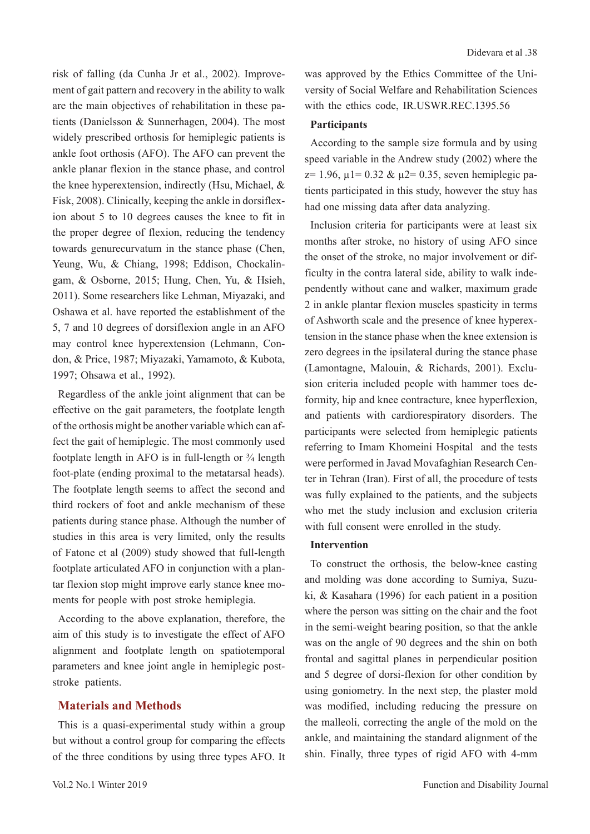risk of falling (da Cunha Jr et al., 2002). Improvement of gait pattern and recovery in the ability to walk are the main objectives of rehabilitation in these patients (Danielsson & Sunnerhagen, 2004). The most widely prescribed orthosis for hemiplegic patients is ankle foot orthosis (AFO). The AFO can prevent the ankle planar flexion in the stance phase, and control the knee hyperextension, indirectly (Hsu, Michael, & Fisk, 2008). Clinically, keeping the ankle in dorsiflexion about 5 to 10 degrees causes the knee to fit in the proper degree of flexion, reducing the tendency towards genurecurvatum in the stance phase (Chen, Yeung, Wu, & Chiang, 1998; Eddison, Chockalingam, & Osborne, 2015; Hung, Chen, Yu, & Hsieh, 2011). Some researchers like Lehman, Miyazaki, and Oshawa et al. have reported the establishment of the 5, 7 and 10 degrees of dorsiflexion angle in an AFO may control knee hyperextension (Lehmann, Condon, & Price, 1987; Miyazaki, Yamamoto, & Kubota, 1997; Ohsawa et al., 1992).

Regardless of the ankle joint alignment that can be effective on the gait parameters, the footplate length of the orthosis might be another variable which can affect the gait of hemiplegic. The most commonly used footplate length in AFO is in full-length or  $\frac{3}{4}$  length foot-plate (ending proximal to the metatarsal heads). The footplate length seems to affect the second and third rockers of foot and ankle mechanism of these patients during stance phase. Although the number of studies in this area is very limited, only the results of Fatone et al (2009) study showed that full-length footplate articulated AFO in conjunction with a plantar flexion stop might improve early stance knee moments for people with post stroke hemiplegia.

According to the above explanation, therefore, the aim of this study is to investigate the effect of AFO alignment and footplate length on spatiotemporal parameters and knee joint angle in hemiplegic poststroke patients.

#### **Materials and Methods**

This is a quasi-experimental study within a group but without a control group for comparing the effects of the three conditions by using three types AFO. It was approved by the Ethics Committee of the University of Social Welfare and Rehabilitation Sciences with the ethics code, IR.USWR.REC.1395.56

#### **Participants**

According to the sample size formula and by using speed variable in the Andrew study (2002) where the  $z= 1.96$ ,  $\mu$ 1= 0.32 &  $\mu$ 2= 0.35, seven hemiplegic patients participated in this study, however the stuy has had one missing data after data analyzing.

Inclusion criteria for participants were at least six months after stroke, no history of using AFO since the onset of the stroke, no major involvement or difficulty in the contra lateral side, ability to walk independently without cane and walker, maximum grade 2 in ankle plantar flexion muscles spasticity in terms of Ashworth scale and the presence of knee hyperextension in the stance phase when the knee extension is zero degrees in the ipsilateral during the stance phase (Lamontagne, Malouin, & Richards, 2001). Exclusion criteria included people with hammer toes deformity, hip and knee contracture, knee hyperflexion, and patients with cardiorespiratory disorders. The participants were selected from hemiplegic patients referring to Imam Khomeini Hospital and the tests were performed in Javad Movafaghian Research Center in Tehran (Iran). First of all, the procedure of tests was fully explained to the patients, and the subjects who met the study inclusion and exclusion criteria with full consent were enrolled in the study.

#### **Intervention**

To construct the orthosis, the below-knee casting and molding was done according to Sumiya, Suzuki, & Kasahara (1996) for each patient in a position where the person was sitting on the chair and the foot in the semi-weight bearing position, so that the ankle was on the angle of 90 degrees and the shin on both frontal and sagittal planes in perpendicular position and 5 degree of dorsi-flexion for other condition by using goniometry. In the next step, the plaster mold was modified, including reducing the pressure on the malleoli, correcting the angle of the mold on the ankle, and maintaining the standard alignment of the shin. Finally, three types of rigid AFO with 4-mm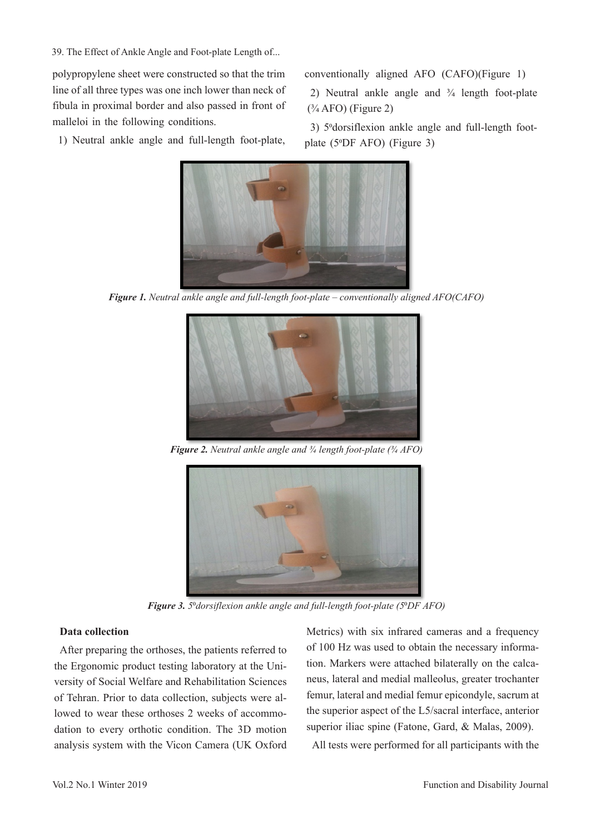39. The Effect of Ankle Angle and Foot-plate Length of...

polypropylene sheet were constructed so that the trim line of all three types was one inch lower than neck of fibula in proximal border and also passed in front of malleloi in the following conditions.

1) Neutral ankle angle and full-length foot-plate,

conventionally aligned AFO (CAFO)(Figure 1)

2) Neutral ankle angle and ¾ length foot-plate  $(*4$  AFO) (Figure 2)

3) 5° dorsiflexion ankle angle and full-length footplate (50DF AFO) (Figure 3)



*Figure 1. Neutral ankle angle and full-length foot-plate – conventionally aligned AFO(CAFO)*



*Figure 2. Neutral ankle angle and ¾ length foot-plate (¾ AFO)*



*Figure 3. 5*0*dorsiflexion ankle angle and full-length foot-plate (5*0*DF AFO)*

## **Data collection**

After preparing the orthoses, the patients referred to the Ergonomic product testing laboratory at the University of Social Welfare and Rehabilitation Sciences of Tehran. Prior to data collection, subjects were allowed to wear these orthoses 2 weeks of accommodation to every orthotic condition. The 3D motion analysis system with the Vicon Camera (UK Oxford

Metrics) with six infrared cameras and a frequency of 100 Hz was used to obtain the necessary information. Markers were attached bilaterally on the calcaneus, lateral and medial malleolus, greater trochanter femur, lateral and medial femur epicondyle, sacrum at the superior aspect of the L5/sacral interface, anterior superior iliac spine (Fatone, Gard, & Malas, 2009).

All tests were performed for all participants with the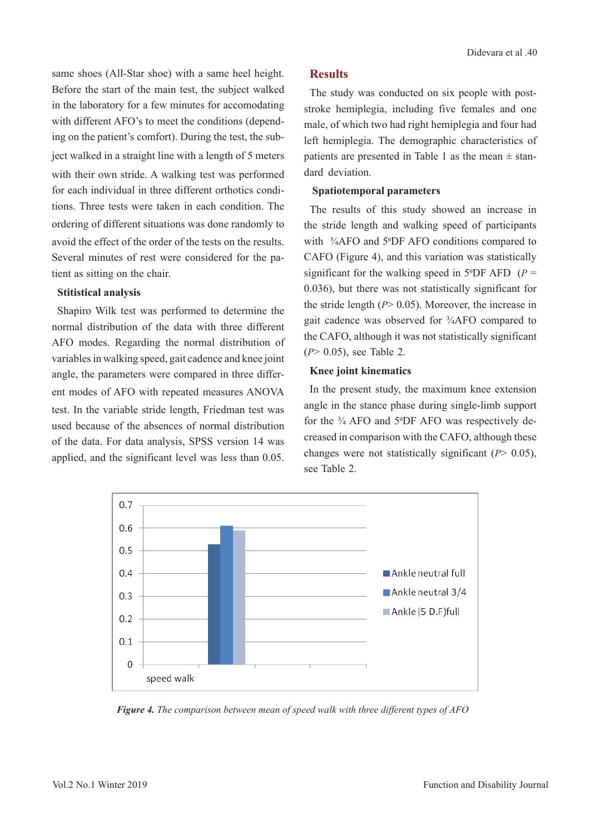same shoes (All-Star shoe) with a same heel height. Before the start of the main test, the subject walked in the laboratory for a few minutes for accomodating with different AFO's to meet the conditions (depending on the patient's comfort). During the test, the subject walked in a straight line with a length of 5 meters with their own stride. A walking test was performed for each individual in three different orthotics conditions. Three tests were taken in each condition. The ordering of different situations was done randomly to avoid the effect of the order of the tests on the results. Several minutes of rest were considered for the patient as sitting on the chair.

#### **Stitistical analysis**

Shapiro Wilk test was performed to determine the normal distribution of the data with three different AFO modes. Regarding the normal distribution of variables in walking speed, gait cadence and knee joint angle, the parameters were compared in three different modes of AFO with repeated measures ANOVA test. In the variable stride length, Friedman test was used because of the absences of normal distribution of the data. For data analysis, SPSS version 14 was applied, and the significant level was less than 0.05.

# **Results**

The study was conducted on six people with poststroke hemiplegia, including five females and one male, of which two had right hemiplegia and four had left hemiplegia. The demographic characteristics of patients are presented in Table 1 as the mean  $\pm$  standard deviation.

## **Spatiotemporal parameters**

The results of this study showed an increase in the stride length and walking speed of participants with <sup>3</sup>/<sub>4</sub>AFO and 5<sup>°</sup>DF AFO conditions compared to CAFO (Figure 4), and this variation was statistically significant for the walking speed in  $5^{\circ}$ DF AFD (*P* = 0.036), but there was not statistically significant for the stride length (*P*> 0.05). Moreover, the increase in gait cadence was observed for ¾AFO compared to the CAFO, although it was not statistically significant (*P*> 0.05), see Table 2.

# **Knee joint kinematics**

In the present study, the maximum knee extension angle in the stance phase during single-limb support for the ¾ AFO and 50DF AFO was respectively decreased in comparison with the CAFO, although these changes were not statistically significant (*P*> 0.05), see Table 2.



*Figure 4. The comparison between mean of speed walk with three different types of AFO*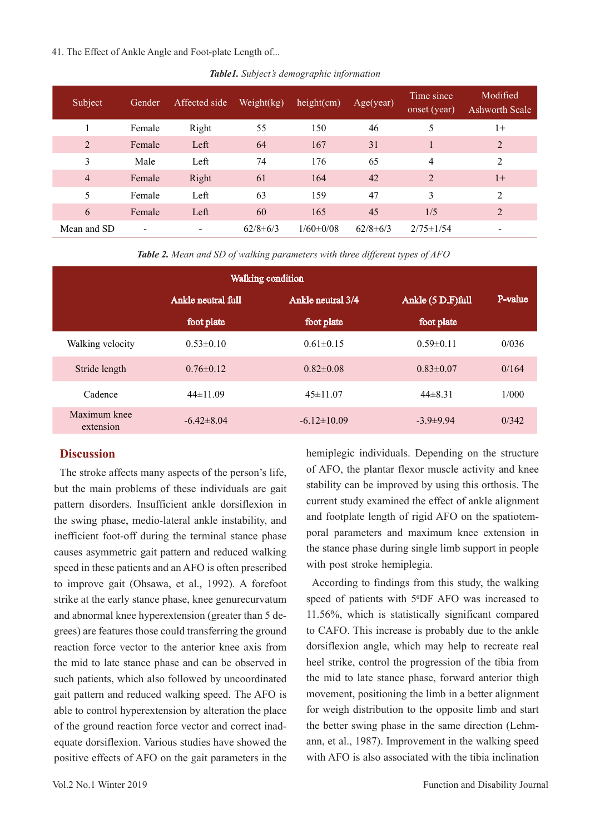#### 41. The Effect of Ankle Angle and Foot-plate Length of...

| Subject        | Gender | Affected side | Weight $(kg)$  | height(cm)      | Age(year)      | Time since.<br>onset (year) | Modified<br>Ashworth Scale |
|----------------|--------|---------------|----------------|-----------------|----------------|-----------------------------|----------------------------|
|                | Female | Right         | 55             | 150             | 46             | 5                           | $1+$                       |
| $\overline{2}$ | Female | Left          | 64             | 167             | 31             |                             | 2                          |
| 3              | Male   | Left          | 74             | 176             | 65             | 4                           | 2                          |
| $\overline{4}$ | Female | Right         | 61             | 164             | 42             | $\overline{2}$              | $1+$                       |
| 5              | Female | Left          | 63             | 159             | 47             | 3                           | 2                          |
| 6              | Female | Left          | 60             | 165             | 45             | 1/5                         | $\overline{2}$             |
| Mean and SD    | ۰      | ٠             | $62/8 \pm 6/3$ | $1/60 \pm 0/08$ | $62/8 \pm 6/3$ | $2/75 \pm 1/54$             |                            |

*Table1. Subject's demographic information*

*Table 2. Mean and SD of walking parameters with three different types of AFO*

| <b>Walking condition</b>  |                    |                   |                   |         |  |
|---------------------------|--------------------|-------------------|-------------------|---------|--|
|                           | Ankle neutral full | Ankle neutral 3/4 | Ankle (5 D.F)full | P-value |  |
|                           | foot plate         | foot plate        | foot plate        |         |  |
| Walking velocity          | $0.53\pm0.10$      | $0.61 \pm 0.15$   | $0.59 \pm 0.11$   | 0/036   |  |
| Stride length             | $0.76 \pm 0.12$    | $0.82 \pm 0.08$   | $0.83 \pm 0.07$   | 0/164   |  |
| Cadence                   | $44\pm11.09$       | $45\pm11.07$      | $44\pm8.31$       | 1/000   |  |
| Maximum knee<br>extension | $-6.42\pm8.04$     | $-6.12 \pm 10.09$ | $-3.9\pm9.94$     | 0/342   |  |

# **Discussion**

The stroke affects many aspects of the person's life, but the main problems of these individuals are gait pattern disorders. Insufficient ankle dorsiflexion in the swing phase, medio-lateral ankle instability, and inefficient foot-off during the terminal stance phase causes asymmetric gait pattern and reduced walking speed in these patients and an AFO is often prescribed to improve gait (Ohsawa, et al., 1992). A forefoot strike at the early stance phase, knee genurecurvatum and abnormal knee hyperextension (greater than 5 degrees) are features those could transferring the ground reaction force vector to the anterior knee axis from the mid to late stance phase and can be observed in such patients, which also followed by uncoordinated gait pattern and reduced walking speed. The AFO is able to control hyperextension by alteration the place of the ground reaction force vector and correct inadequate dorsiflexion. Various studies have showed the positive effects of AFO on the gait parameters in the

hemiplegic individuals. Depending on the structure of AFO, the plantar flexor muscle activity and knee stability can be improved by using this orthosis. The current study examined the effect of ankle alignment and footplate length of rigid AFO on the spatiotemporal parameters and maximum knee extension in the stance phase during single limb support in people with post stroke hemiplegia.

According to findings from this study, the walking speed of patients with 5°DF AFO was increased to 11.56%, which is statistically significant compared to CAFO. This increase is probably due to the ankle dorsiflexion angle, which may help to recreate real heel strike, control the progression of the tibia from the mid to late stance phase, forward anterior thigh movement, positioning the limb in a better alignment for weigh distribution to the opposite limb and start the better swing phase in the same direction (Lehmann, et al., 1987). Improvement in the walking speed with AFO is also associated with the tibia inclination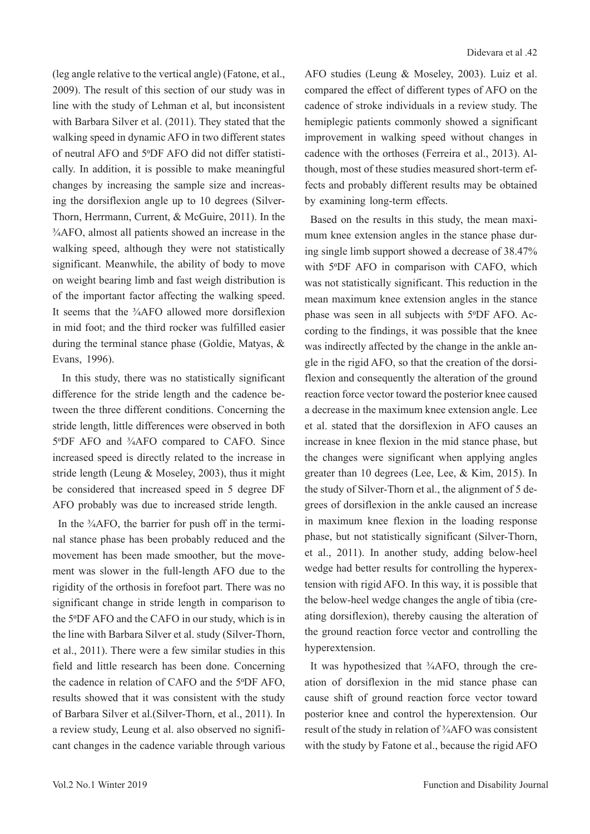(leg angle relative to the vertical angle) (Fatone, et al., 2009). The result of this section of our study was in line with the study of Lehman et al, but inconsistent with Barbara Silver et al. (2011). They stated that the walking speed in dynamic AFO in two different states of neutral AFO and 50DF AFO did not differ statistically. In addition, it is possible to make meaningful changes by increasing the sample size and increasing the dorsiflexion angle up to 10 degrees (Silver-Thorn, Herrmann, Current, & McGuire, 2011). In the ¾AFO, almost all patients showed an increase in the walking speed, although they were not statistically significant. Meanwhile, the ability of body to move on weight bearing limb and fast weigh distribution is of the important factor affecting the walking speed. It seems that the  $\frac{3}{4}$ AFO allowed more dorsiflexion in mid foot; and the third rocker was fulfilled easier during the terminal stance phase (Goldie, Matyas, & Evans, 1996).

 In this study, there was no statistically significant difference for the stride length and the cadence between the three different conditions. Concerning the stride length, little differences were observed in both 5°DF AFO and <sup>3</sup>/<sub>4</sub>AFO compared to CAFO. Since increased speed is directly related to the increase in stride length (Leung & Moseley, 2003), thus it might be considered that increased speed in 5 degree DF AFO probably was due to increased stride length.

In the <sup>3</sup>/<sub>4</sub>AFO, the barrier for push off in the terminal stance phase has been probably reduced and the movement has been made smoother, but the movement was slower in the full-length AFO due to the rigidity of the orthosis in forefoot part. There was no significant change in stride length in comparison to the 50DF AFO and the CAFO in our study, which is in the line with Barbara Silver et al. study (Silver-Thorn, et al., 2011). There were a few similar studies in this field and little research has been done. Concerning the cadence in relation of CAFO and the 50DF AFO, results showed that it was consistent with the study of Barbara Silver et al.(Silver-Thorn, et al., 2011). In a review study, Leung et al. also observed no significant changes in the cadence variable through various

AFO studies (Leung & Moseley, 2003). Luiz et al. compared the effect of different types of AFO on the cadence of stroke individuals in a review study. The hemiplegic patients commonly showed a significant improvement in walking speed without changes in cadence with the orthoses (Ferreira et al., 2013). Although, most of these studies measured short-term effects and probably different results may be obtained by examining long-term effects.

Based on the results in this study, the mean maximum knee extension angles in the stance phase during single limb support showed a decrease of 38.47% with 5°DF AFO in comparison with CAFO, which was not statistically significant. This reduction in the mean maximum knee extension angles in the stance phase was seen in all subjects with 50DF AFO. According to the findings, it was possible that the knee was indirectly affected by the change in the ankle angle in the rigid AFO, so that the creation of the dorsiflexion and consequently the alteration of the ground reaction force vector toward the posterior knee caused a decrease in the maximum knee extension angle. Lee et al. stated that the dorsiflexion in AFO causes an increase in knee flexion in the mid stance phase, but the changes were significant when applying angles greater than 10 degrees (Lee, Lee, & Kim, 2015). In the study of Silver-Thorn et al., the alignment of 5 degrees of dorsiflexion in the ankle caused an increase in maximum knee flexion in the loading response phase, but not statistically significant (Silver-Thorn, et al., 2011). In another study, adding below-heel wedge had better results for controlling the hyperextension with rigid AFO. In this way, it is possible that the below-heel wedge changes the angle of tibia (creating dorsiflexion), thereby causing the alteration of the ground reaction force vector and controlling the hyperextension.

It was hypothesized that ¾AFO, through the creation of dorsiflexion in the mid stance phase can cause shift of ground reaction force vector toward posterior knee and control the hyperextension. Our result of the study in relation of ¾AFO was consistent with the study by Fatone et al., because the rigid AFO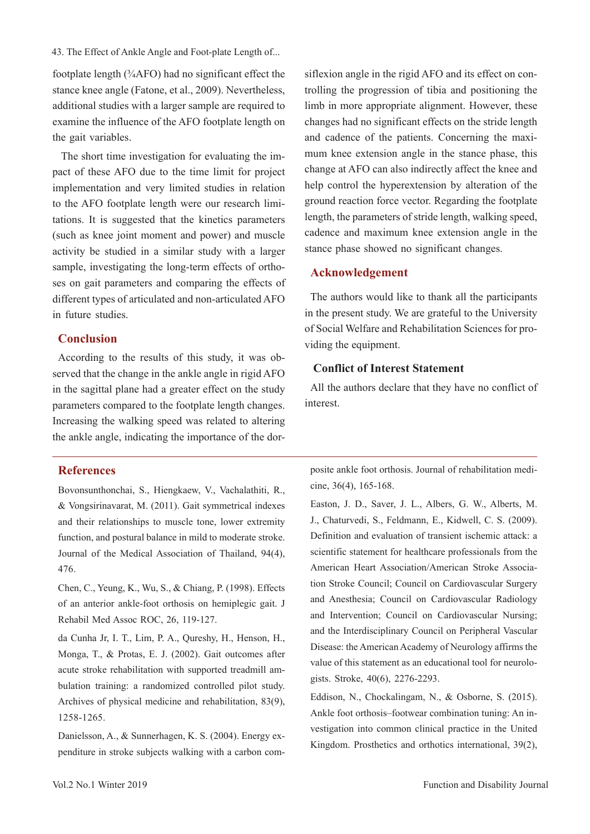43. The Effect of Ankle Angle and Foot-plate Length of...

footplate length (¾AFO) had no significant effect the stance knee angle (Fatone, et al., 2009). Nevertheless, additional studies with a larger sample are required to examine the influence of the AFO footplate length on the gait variables.

 The short time investigation for evaluating the impact of these AFO due to the time limit for project implementation and very limited studies in relation to the AFO footplate length were our research limitations. It is suggested that the kinetics parameters (such as knee joint moment and power) and muscle activity be studied in a similar study with a larger sample, investigating the long-term effects of orthoses on gait parameters and comparing the effects of different types of articulated and non-articulated AFO in future studies.

## **Conclusion**

According to the results of this study, it was observed that the change in the ankle angle in rigid AFO in the sagittal plane had a greater effect on the study parameters compared to the footplate length changes. Increasing the walking speed was related to altering the ankle angle, indicating the importance of the dor-

## **References**

Bovonsunthonchai, S., Hiengkaew, V., Vachalathiti, R., & Vongsirinavarat, M. (2011). Gait symmetrical indexes and their relationships to muscle tone, lower extremity function, and postural balance in mild to moderate stroke. Journal of the Medical Association of Thailand, 94(4), 476.

Chen, C., Yeung, K., Wu, S., & Chiang, P. (1998). Effects of an anterior ankle-foot orthosis on hemiplegic gait. J Rehabil Med Assoc ROC, 26, 119-127.

da Cunha Jr, I. T., Lim, P. A., Qureshy, H., Henson, H., Monga, T., & Protas, E. J. (2002). Gait outcomes after acute stroke rehabilitation with supported treadmill ambulation training: a randomized controlled pilot study. Archives of physical medicine and rehabilitation, 83(9), 1258-1265.

Danielsson, A., & Sunnerhagen, K. S. (2004). Energy expenditure in stroke subjects walking with a carbon comsiflexion angle in the rigid AFO and its effect on controlling the progression of tibia and positioning the limb in more appropriate alignment. However, these changes had no significant effects on the stride length and cadence of the patients. Concerning the maximum knee extension angle in the stance phase, this change at AFO can also indirectly affect the knee and help control the hyperextension by alteration of the ground reaction force vector. Regarding the footplate length, the parameters of stride length, walking speed, cadence and maximum knee extension angle in the stance phase showed no significant changes.

#### **Acknowledgement**

The authors would like to thank all the participants in the present study. We are grateful to the University of Social Welfare and Rehabilitation Sciences for providing the equipment.

#### **Conflict of Interest Statement**

All the authors declare that they have no conflict of interest.

posite ankle foot orthosis. Journal of rehabilitation medicine, 36(4), 165-168.

Easton, J. D., Saver, J. L., Albers, G. W., Alberts, M. J., Chaturvedi, S., Feldmann, E., Kidwell, C. S. (2009). Definition and evaluation of transient ischemic attack: a scientific statement for healthcare professionals from the American Heart Association/American Stroke Association Stroke Council; Council on Cardiovascular Surgery and Anesthesia; Council on Cardiovascular Radiology and Intervention; Council on Cardiovascular Nursing; and the Interdisciplinary Council on Peripheral Vascular Disease: the American Academy of Neurology affirms the value of this statement as an educational tool for neurologists. Stroke, 40(6), 2276-2293.

Eddison, N., Chockalingam, N., & Osborne, S. (2015). Ankle foot orthosis–footwear combination tuning: An investigation into common clinical practice in the United Kingdom. Prosthetics and orthotics international, 39(2),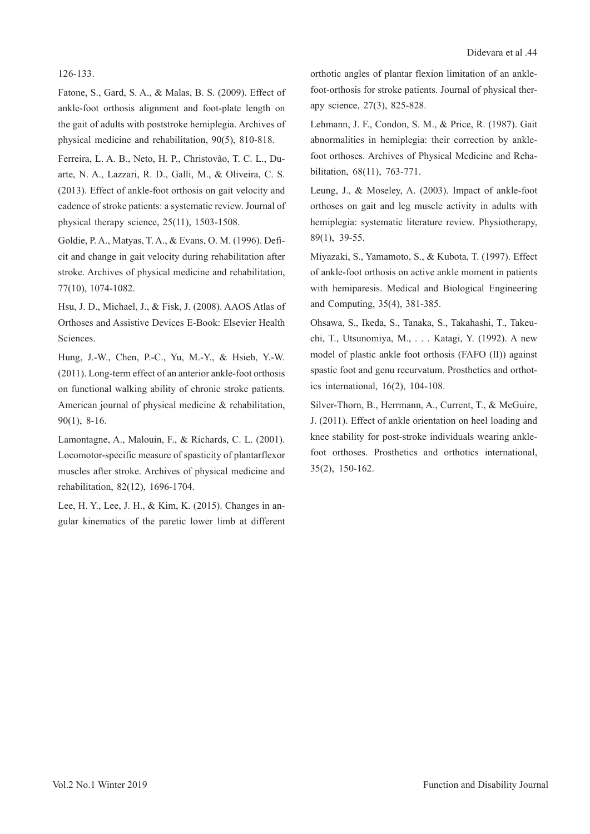#### 126-133.

Fatone, S., Gard, S. A., & Malas, B. S. (2009). Effect of ankle-foot orthosis alignment and foot-plate length on the gait of adults with poststroke hemiplegia. Archives of physical medicine and rehabilitation, 90(5), 810-818.

Ferreira, L. A. B., Neto, H. P., Christovão, T. C. L., Duarte, N. A., Lazzari, R. D., Galli, M., & Oliveira, C. S. (2013). Effect of ankle-foot orthosis on gait velocity and cadence of stroke patients: a systematic review. Journal of physical therapy science, 25(11), 1503-1508.

Goldie, P. A., Matyas, T. A., & Evans, O. M. (1996). Deficit and change in gait velocity during rehabilitation after stroke. Archives of physical medicine and rehabilitation, 77(10), 1074-1082.

Hsu, J. D., Michael, J., & Fisk, J. (2008). AAOS Atlas of Orthoses and Assistive Devices E-Book: Elsevier Health Sciences.

Hung, J.-W., Chen, P.-C., Yu, M.-Y., & Hsieh, Y.-W. (2011). Long-term effect of an anterior ankle-foot orthosis on functional walking ability of chronic stroke patients. American journal of physical medicine & rehabilitation, 90(1), 8-16.

Lamontagne, A., Malouin, F., & Richards, C. L. (2001). Locomotor-specific measure of spasticity of plantarflexor muscles after stroke. Archives of physical medicine and rehabilitation, 82(12), 1696-1704.

Lee, H. Y., Lee, J. H., & Kim, K. (2015). Changes in angular kinematics of the paretic lower limb at different orthotic angles of plantar flexion limitation of an anklefoot-orthosis for stroke patients. Journal of physical therapy science, 27(3), 825-828.

Lehmann, J. F., Condon, S. M., & Price, R. (1987). Gait abnormalities in hemiplegia: their correction by anklefoot orthoses. Archives of Physical Medicine and Rehabilitation, 68(11), 763-771.

Leung, J., & Moseley, A. (2003). Impact of ankle-foot orthoses on gait and leg muscle activity in adults with hemiplegia: systematic literature review. Physiotherapy, 89(1), 39-55.

Miyazaki, S., Yamamoto, S., & Kubota, T. (1997). Effect of ankle-foot orthosis on active ankle moment in patients with hemiparesis. Medical and Biological Engineering and Computing, 35(4), 381-385.

Ohsawa, S., Ikeda, S., Tanaka, S., Takahashi, T., Takeuchi, T., Utsunomiya, M., . . . Katagi, Y. (1992). A new model of plastic ankle foot orthosis (FAFO (II)) against spastic foot and genu recurvatum. Prosthetics and orthotics international, 16(2), 104-108.

Silver-Thorn, B., Herrmann, A., Current, T., & McGuire, J. (2011). Effect of ankle orientation on heel loading and knee stability for post-stroke individuals wearing anklefoot orthoses. Prosthetics and orthotics international, 35(2), 150-162.